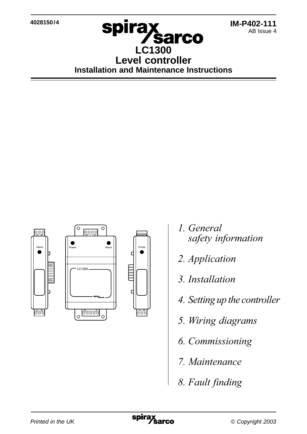**4028150/4**



## spira**x sarco LC1300 Level controller Installation and Maintenance Instructions**



- 1. General safety information
- 2. Application
- 3. Installation
- 4. Setting up the controller
- 5. Wiring diagrams
- 6. Commissioning
- 7. Maintenance
- 8. Fault finding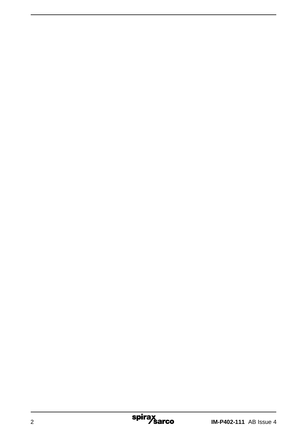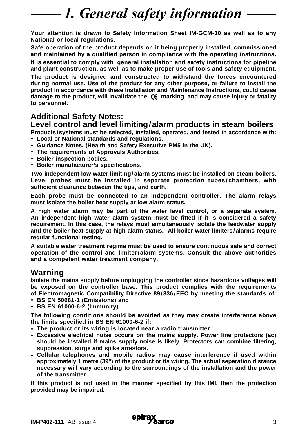# 1. General safety information

**Your attention is drawn to Safety Information Sheet IM-GCM-10 as well as to any National or local regulations.**

**Safe operation of the product depends on it being properly installed, commissioned and maintained by a qualified person in compliance with the operating instructions.**

**It is essential to comply with general installation and safety instructions for pipeline and plant construction, as well as to make proper use of tools and safety equipment. The product is designed and constructed to withstand the forces encountered during normal use. Use of the product for any other purpose, or failure to install the product in accordance with these Installation and Maintenance Instructions, could cause** damage to the product, will invalidate the  $\mathcal{C}\epsilon$  marking, and may cause injury or fatality **to personnel.**

## **Additional Safety Notes:**

#### **Level control and level limiting/alarm products in steam boilers**

**Products /systems must be selected, installed, operated, and tested in accordance with: - Local or National standards and regulations.**

- **- Guidance Notes, (Health and Safety Executive PM5 in the UK).**
- **- The requirements of Approvals Authorities.**
- **- Boiler inspection bodies.**
- **- Boiler manufacturer's specifications.**

**Two independent low water limiting/alarm systems must be installed on steam boilers. Level probes must be installed in separate protection tubes/chambers, with sufficient clearance between the tips, and earth.**

**Each probe must be connected to an independent controller. The alarm relays must isolate the boiler heat supply at low alarm status.**

**A high water alarm may be part of the water level control, or a separate system. An independent high water alarm system must be fitted if it is considered a safety requirement. In this case, the relays must simultaneously isolate the feedwater supply and the boiler heat supply at high alarm status. All boiler water limiters/alarms require regular functional testing.**

**A suitable water treatment regime must be used to ensure continuous safe and correct operation of the control and limiter/alarm systems. Consult the above authorities and a competent water treatment company.**

#### **Warning**

**Isolate the mains supply before unplugging the controller since hazardous voltages will be exposed on the controller base. This product complies with the requirements of Electromagnetic Compatibility Directive 89/336/EEC by meeting the standards of:**

- **- BS EN 50081-1 (Emissions) and**
- **- BS EN 61000-6-2 (Immunity).**

**The following conditions should be avoided as they may create interference above the limits specified in BS EN 61000-6-2 if:**

- **- The product or its wiring is located near a radio transmitter.**
- **- Excessive electrical noise occurs on the mains supply. Power line protectors (ac) should be installed if mains supply noise is likely. Protectors can combine filtering, suppression, surge and spike arrestors.**
- **- Cellular telephones and mobile radios may cause interference if used within approximately 1 metre (39") of the product or its wiring. The actual separation distance necessary will vary according to the surroundings of the installation and the power of the transmitter.**

**If this product is not used in the manner specified by this IMI, then the protection provided may be impaired.**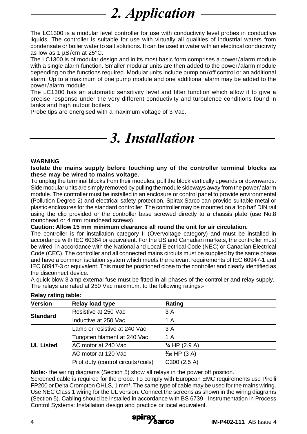# 2. *Application*

The LC1300 is a modular level controller for use with conductivity level probes in conductive liquids. The controller is suitable for use with virtually all qualities of industrial waters from condensate or boiler water to salt solutions. It can be used in water with an electrical conductivity as low as 1 µS/cm at 25**°**C.

The LC1300 is of modular design and in its most basic form comprises a power/alarm module with a single alarm function. Smaller modular units are then added to the power/alarm module depending on the functions required. Modular units include pump on/off control or an additional alarm. Up to a maximum of one pump module and one additional alarm may be added to the power/alarm module.

The LC1300 has an automatic sensitivity level and filter function which allow it to give a precise response under the very different conductivity and turbulence conditions found in tanks and high output boilers.

Probe tips are energised with a maximum voltage of 3 Vac.

# 3. Installation

#### **WARNING**

**Isolate the mains supply before touching any of the controller terminal blocks as these may be wired to mains voltage.**

To unplug the terminal blocks from their modules, pull the block vertically upwards or downwards. Side modular units are simply removed by pulling the module sideways away from the power/alarm module. The controller must be installed in an enclosure or control panel to provide environmental (Pollution Degree 2) and electrical safety protection. Spirax Sarco can provide suitable metal or plastic enclosures for the standard controller. The controller may be mounted on a 'top hat' DIN rail using the clip provided or the controller base screwed directly to a chassis plate (use No.8 roundhead or 4 mm roundhead screws)

#### **Caution: Allow 15 mm minimum clearance all round the unit for air circulation.**

The controller is for installation category II (Overvoltage category) and must be installed in accordance with IEC 60364 or equivalent. For the US and Canadian markets, the controller must be wired in accordance with the National and Local Electrical Code (NEC) or Canadian Electrical Code (CEC). The controller and all connected mains circuits must be supplied by the same phase and have a common isolation system which meets the relevant requirements of IEC 60947-1 and IEC 60947-3 or equivalent. This must be positioned close to the controller and clearly identified as the disconnect device.

A quick blow 3 amp external fuse must be fitted in all phases of the controller and relay supply. The relays are rated at 250 Vac maximum, to the following ratings:-

| <b>Version</b>   | Relay load type                     | Rating                   |
|------------------|-------------------------------------|--------------------------|
| <b>Standard</b>  | Resistive at 250 Vac                | 3 A                      |
|                  | Inductive at 250 Vac                | 1 A                      |
| <b>UL Listed</b> | Lamp or resistive at 240 Vac        | 3 A                      |
|                  | Tungsten filament at 240 Vac        | 1 A                      |
|                  | AC motor at 240 Vac                 | $\frac{1}{4}$ HP (2.9 A) |
|                  | AC motor at 120 Vac                 | $\frac{1}{10}$ HP (3 A)  |
|                  | Pilot duty (control circuits/coils) | C300(2.5 A)              |

#### **Relay rating table:**

**Note:-** the wiring diagrams (Section 5) show all relays in the power off position.

Screened cable is required for the probe. To comply with European EMC requirements use Pirelli FP200 or Delta Crompton OHLS, 1 mm**²**. The same type of cable may be used for the mains wiring. Use NEC Class 1 wiring for the UL version. Connect the screens as shown in the wiring diagrams (Section 5). Cabling should be installed in accordance with BS 6739 - Instrumentation in Process Control Systems: Installation design and practice or local equivalent.

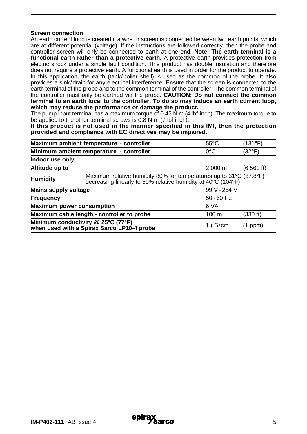#### **Screen connection**

An earth current loop is created if a wire or screen is connected between two earth points, which are at different potential (voltage). If the instructions are followed correctly, then the probe and controller screen will only be connected to earth at one end. **Note: The earth terminal is a functional earth rather than a protective earth.** A protective earth provides protection from electric shock under a single fault condition. This product has double insulation and therefore does not require a protective earth. A functional earth is used in order for the product to operate. In this application, the earth (tank/boiler shell) is used as the common of the probe. It also provides a sink/drain for any electrical interference. Ensure that the screen is connected to the earth terminal of the probe and to the common terminal of the controller. The common terminal of the controller must only be earthed via the probe. **CAUTION: Do not connect the common terminal to an earth local to the controller. To do so may induce an earth current loop, which may reduce the performance or damage the product.**

The pump input terminal has a maximum torque of 0.45 N m (4 lbf inch). The maximum torque to be applied to the other terminal screws is 0.8 N m (7 lbf inch).

**If this product is not used in the manner specified in this IMI, then the protection provided and compliance with EC directives may be impaired.**

|                                                                                    | Maximum ambient temperature - controller                                                                                        | $55^{\circ}$ C  | (131°F)      |  |
|------------------------------------------------------------------------------------|---------------------------------------------------------------------------------------------------------------------------------|-----------------|--------------|--|
|                                                                                    | Minimum ambient temperature - controller                                                                                        | $0^{\circ}$ C   | (32°F)       |  |
| Indoor use only                                                                    |                                                                                                                                 |                 |              |  |
| Altitude up to                                                                     |                                                                                                                                 | 2000 m          | (6 561 ft)   |  |
| <b>Humidity</b>                                                                    | Maximum relative humidity 80% for temperatures up to 31°C (87.8°F) decreasing linearly to 50% relative humidity at 40°C (104°F) |                 |              |  |
| Mains supply voltage                                                               |                                                                                                                                 | 99 V - 264 V    |              |  |
| <b>Frequency</b>                                                                   |                                                                                                                                 | $50 - 60$ Hz    |              |  |
| <b>Maximum power consumption</b>                                                   |                                                                                                                                 | 6 VA            |              |  |
| Maximum cable length - controller to probe                                         |                                                                                                                                 | $100 \text{ m}$ | (330 ft)     |  |
| Minimum conductivity $@$ 25°C (77°F)<br>when used with a Spirax Sarco LP10-4 probe |                                                                                                                                 | 1 $\mu$ S/cm    | $(1$ ppm $)$ |  |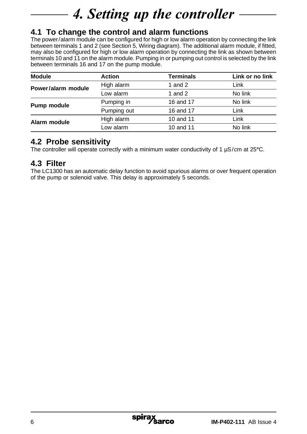# 4. Setting up the controller

### **4.1 To change the control and alarm functions**

The power/alarm module can be configured for high or low alarm operation by connecting the link between terminals 1 and 2 (see Section 5, Wiring diagram). The additional alarm module, if fitted, may also be configured for high or low alarm operation by connecting the link as shown between terminals 10 and 11 on the alarm module. Pumping in or pumping out control is selected by the link between terminals 16 and 17 on the pump module.

| <b>Module</b>      | <b>Action</b> | <b>Terminals</b> | Link or no link |
|--------------------|---------------|------------------|-----------------|
| Power/alarm module | High alarm    | 1 and 2          | Link            |
|                    | Low alarm     | 1 and $2$        | No link         |
| Pump module        | Pumping in    | 16 and 17        | No link         |
|                    | Pumping out   | 16 and 17        | Link            |
| Alarm module       | High alarm    | 10 and 11        | Link            |
|                    | Low alarm     | 10 and 11        | No link         |

#### **4.2 Probe sensitivity**

The controller will operate correctly with a minimum water conductivity of 1 µS/cm at 25**°**C.

#### **4.3 Filter**

The LC1300 has an automatic delay function to avoid spurious alarms or over frequent operation of the pump or solenoid valve. This delay is approximately 5 seconds.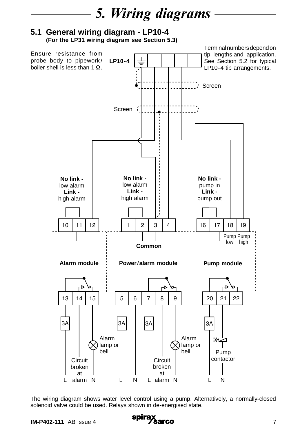

The wiring diagram shows water level control using a pump. Alternatively, a normally-closed solenoid valve could be used. Relays shown in de-energised state.

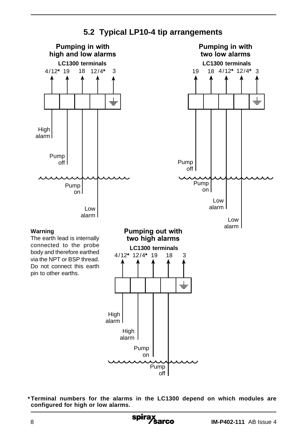

#### **5.2 Typical LP10-4 tip arrangements**

**\* Terminal numbers for the alarms in the LC1300 depend on which modules are configured for high or low alarms.**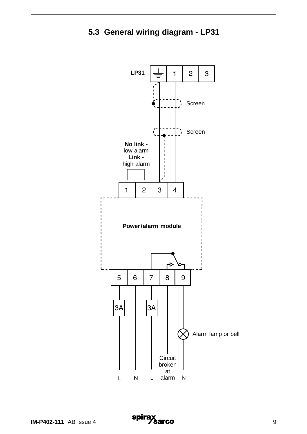## **5.3 General wiring diagram - LP31**

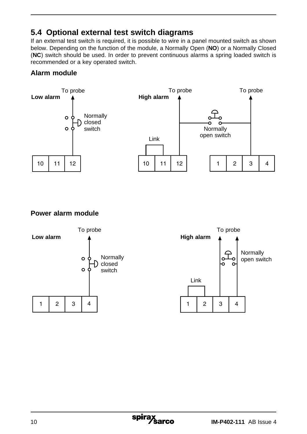## **5.4 Optional external test switch diagrams**

If an external test switch is required, it is possible to wire in a panel mounted switch as shown below. Depending on the function of the module, a Normally Open (**NO**) or a Normally Closed (**NC**) switch should be used. In order to prevent continuous alarms a spring loaded switch is recommended or a key operated switch.

#### **Alarm module**



**Power alarm module**

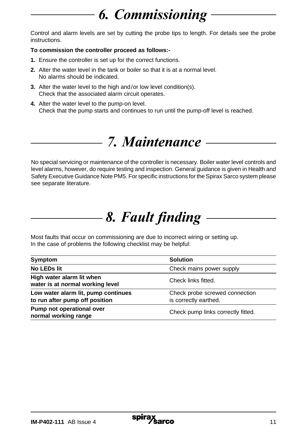# **6.** Commissioning

Control and alarm levels are set by cutting the probe tips to length. For details see the probe instructions.

#### **To commission the controller proceed as follows:-**

- **1.** Ensure the controller is set up for the correct functions.
- **2.** Alter the water level in the tank or boiler so that it is at a normal level. No alarms should be indicated.
- **3.** Alter the water level to the high and/or low level condition(s). Check that the associated alarm circuit operates.
- **4.** Alter the water level to the pump-on level. Check that the pump starts and continues to run until the pump-off level is reached.

## *-*

No special servicing or maintenance of the controller is necessary. Boiler water level controls and level alarms, however, do require testing and inspection. General guidance is given in Health and Safety Executive Guidance Note PM5. For specific instructions for the Spirax Sarco system please see separate literature.

# 8. Fault finding

Most faults that occur on commissioning are due to incorrect wiring or setting up. In the case of problems the following checklist may be helpful:

| Symptom                                                               | <b>Solution</b>                                         |  |
|-----------------------------------------------------------------------|---------------------------------------------------------|--|
| No LEDs lit                                                           | Check mains power supply                                |  |
| High water alarm lit when<br>water is at normal working level         | Check links fitted.                                     |  |
| Low water alarm lit, pump continues<br>to run after pump off position | Check probe screwed connection<br>is correctly earthed. |  |
| Pump not operational over<br>normal working range                     | Check pump links correctly fitted.                      |  |